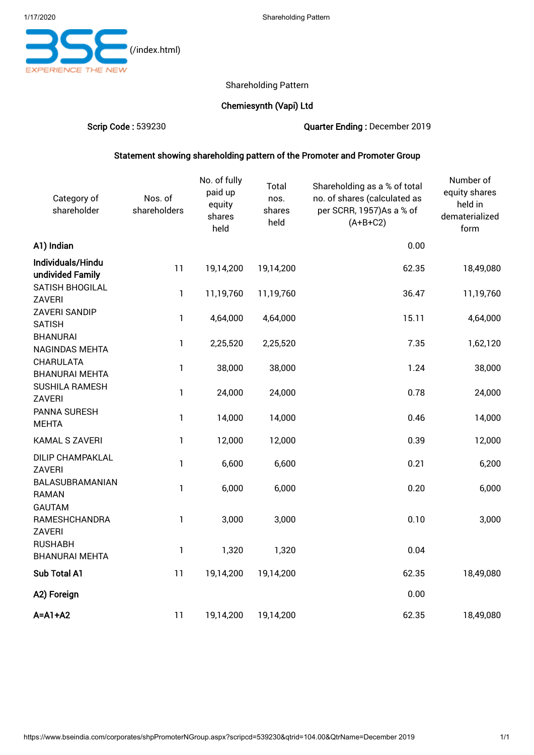

## Shareholding Pattern

## Chemiesynth (Vapi) Ltd

Scrip Code : 539230 Quarter Ending : December 2019

# Statement showing shareholding pattern of the Promoter and Promoter Group

| Category of<br>shareholder               | Nos. of<br>shareholders | No. of fully<br>paid up<br>equity<br>shares<br>held | Total<br>nos.<br>shares<br>held | Shareholding as a % of total<br>no. of shares (calculated as<br>per SCRR, 1957)As a % of<br>$(A+B+C2)$ | Number of<br>equity shares<br>held in<br>dematerialized<br>form |
|------------------------------------------|-------------------------|-----------------------------------------------------|---------------------------------|--------------------------------------------------------------------------------------------------------|-----------------------------------------------------------------|
| A1) Indian                               |                         |                                                     |                                 | 0.00                                                                                                   |                                                                 |
| Individuals/Hindu<br>undivided Family    | 11                      | 19,14,200                                           | 19,14,200                       | 62.35                                                                                                  | 18,49,080                                                       |
| SATISH BHOGILAL<br>ZAVERI                | $\mathbf{1}$            | 11,19,760                                           | 11,19,760                       | 36.47                                                                                                  | 11,19,760                                                       |
| ZAVERI SANDIP<br><b>SATISH</b>           | $\mathbf{1}$            | 4,64,000                                            | 4,64,000                        | 15.11                                                                                                  | 4,64,000                                                        |
| <b>BHANURAI</b><br><b>NAGINDAS MEHTA</b> | 1                       | 2,25,520                                            | 2,25,520                        | 7.35                                                                                                   | 1,62,120                                                        |
| CHARULATA<br><b>BHANURAI MEHTA</b>       | $\mathbf{1}$            | 38,000                                              | 38,000                          | 1.24                                                                                                   | 38,000                                                          |
| <b>SUSHILA RAMESH</b><br>ZAVERI          | $\mathbf{1}$            | 24,000                                              | 24,000                          | 0.78                                                                                                   | 24,000                                                          |
| PANNA SURESH<br><b>MEHTA</b>             | $\mathbf{1}$            | 14,000                                              | 14,000                          | 0.46                                                                                                   | 14,000                                                          |
| <b>KAMAL S ZAVERI</b>                    | $\mathbf{1}$            | 12,000                                              | 12,000                          | 0.39                                                                                                   | 12,000                                                          |
| <b>DILIP CHAMPAKLAL</b><br><b>ZAVERI</b> | $\mathbf{1}$            | 6,600                                               | 6,600                           | 0.21                                                                                                   | 6,200                                                           |
| BALASUBRAMANIAN<br><b>RAMAN</b>          | $\mathbf{1}$            | 6,000                                               | 6,000                           | 0.20                                                                                                   | 6,000                                                           |
| <b>GAUTAM</b><br>RAMESHCHANDRA<br>ZAVERI | 1                       | 3,000                                               | 3,000                           | 0.10                                                                                                   | 3,000                                                           |
| <b>RUSHABH</b><br><b>BHANURAI MEHTA</b>  | $\mathbf{1}$            | 1,320                                               | 1,320                           | 0.04                                                                                                   |                                                                 |
| Sub Total A1                             | 11                      | 19,14,200                                           | 19,14,200                       | 62.35                                                                                                  | 18,49,080                                                       |
| A2) Foreign                              |                         |                                                     |                                 | 0.00                                                                                                   |                                                                 |
| $A = A1 + A2$                            | 11                      | 19,14,200                                           | 19,14,200                       | 62.35                                                                                                  | 18,49,080                                                       |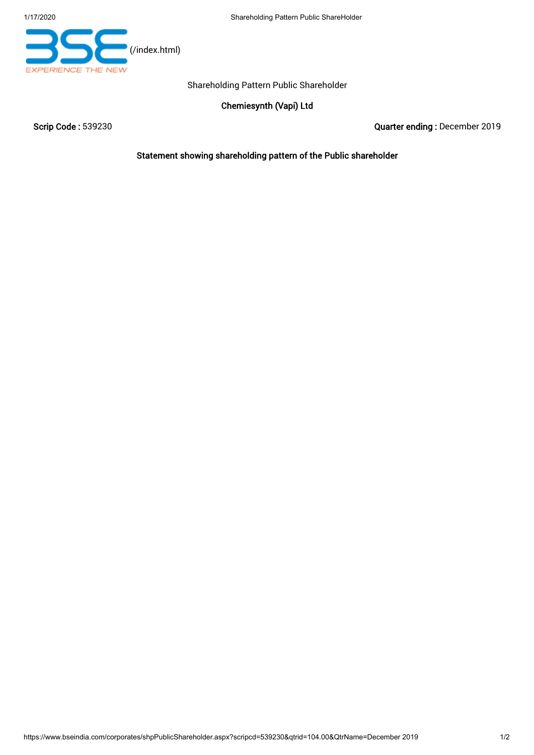

Shareholding Pattern Public Shareholder

Chemiesynth (Vapi) Ltd

Scrip Code : 539230 Quarter ending : December 2019

Statement showing shareholding pattern of the Public shareholder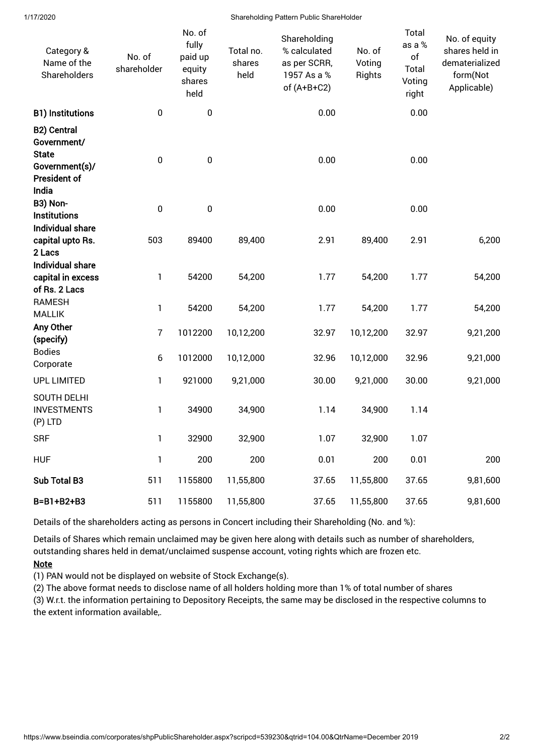Shareholding Pattern Public ShareHolder

| Category &<br>Name of the<br>Shareholders                                                           | No. of<br>shareholder | No. of<br>fully<br>paid up<br>equity<br>shares<br>held | Total no.<br>shares<br>held | Shareholding<br>% calculated<br>as per SCRR,<br>1957 As a %<br>of $(A+B+C2)$ | No. of<br>Voting<br><b>Rights</b> | Total<br>as a %<br>of<br>Total<br>Voting<br>right | No. of equity<br>shares held in<br>dematerialized<br>form(Not<br>Applicable) |
|-----------------------------------------------------------------------------------------------------|-----------------------|--------------------------------------------------------|-----------------------------|------------------------------------------------------------------------------|-----------------------------------|---------------------------------------------------|------------------------------------------------------------------------------|
| <b>B1) Institutions</b>                                                                             | $\pmb{0}$             | $\pmb{0}$                                              |                             | 0.00                                                                         |                                   | 0.00                                              |                                                                              |
| <b>B2) Central</b><br>Government/<br><b>State</b><br>Government(s)/<br><b>President of</b><br>India | $\pmb{0}$             | $\pmb{0}$                                              |                             | 0.00                                                                         |                                   | 0.00                                              |                                                                              |
| B3) Non-                                                                                            | $\pmb{0}$             | $\pmb{0}$                                              |                             | 0.00                                                                         |                                   | 0.00                                              |                                                                              |
| <b>Institutions</b><br><b>Individual share</b>                                                      |                       |                                                        |                             |                                                                              |                                   |                                                   |                                                                              |
| capital upto Rs.                                                                                    | 503                   | 89400                                                  | 89,400                      | 2.91                                                                         | 89,400                            | 2.91                                              | 6,200                                                                        |
| 2 Lacs<br><b>Individual share</b>                                                                   |                       |                                                        |                             |                                                                              |                                   |                                                   |                                                                              |
| capital in excess                                                                                   | 1                     | 54200                                                  | 54,200                      | 1.77                                                                         | 54,200                            | 1.77                                              | 54,200                                                                       |
| of Rs. 2 Lacs                                                                                       |                       |                                                        |                             |                                                                              |                                   |                                                   |                                                                              |
| <b>RAMESH</b><br><b>MALLIK</b>                                                                      | 1                     | 54200                                                  | 54,200                      | 1.77                                                                         | 54,200                            | 1.77                                              | 54,200                                                                       |
| Any Other<br>(specify)                                                                              | $\bf 7$               | 1012200                                                | 10,12,200                   | 32.97                                                                        | 10,12,200                         | 32.97                                             | 9,21,200                                                                     |
| <b>Bodies</b><br>Corporate                                                                          | $\boldsymbol{6}$      | 1012000                                                | 10,12,000                   | 32.96                                                                        | 10,12,000                         | 32.96                                             | 9,21,000                                                                     |
| <b>UPL LIMITED</b>                                                                                  | 1                     | 921000                                                 | 9,21,000                    | 30.00                                                                        | 9,21,000                          | 30.00                                             | 9,21,000                                                                     |
| <b>SOUTH DELHI</b><br><b>INVESTMENTS</b><br>(P) LTD                                                 | 1                     | 34900                                                  | 34,900                      | 1.14                                                                         | 34,900                            | 1.14                                              |                                                                              |
| <b>SRF</b>                                                                                          | $\mathbf{1}$          | 32900                                                  | 32,900                      | 1.07                                                                         | 32,900                            | 1.07                                              |                                                                              |
| <b>HUF</b>                                                                                          | $\mathbf{1}$          | 200                                                    | 200                         | 0.01                                                                         | 200                               | 0.01                                              | 200                                                                          |
| Sub Total B3                                                                                        | 511                   | 1155800                                                | 11,55,800                   | 37.65                                                                        | 11,55,800                         | 37.65                                             | 9,81,600                                                                     |
| B=B1+B2+B3                                                                                          | 511                   | 1155800                                                | 11,55,800                   | 37.65                                                                        | 11,55,800                         | 37.65                                             | 9,81,600                                                                     |

Details of the shareholders acting as persons in Concert including their Shareholding (No. and %):

Details of Shares which remain unclaimed may be given here along with details such as number of shareholders, outstanding shares held in demat/unclaimed suspense account, voting rights which are frozen etc.

## **Note**

(1) PAN would not be displayed on website of Stock Exchange(s).

(2) The above format needs to disclose name of all holders holding more than 1% of total number of shares

(3) W.r.t. the information pertaining to Depository Receipts, the same may be disclosed in the respective columns to the extent information available,.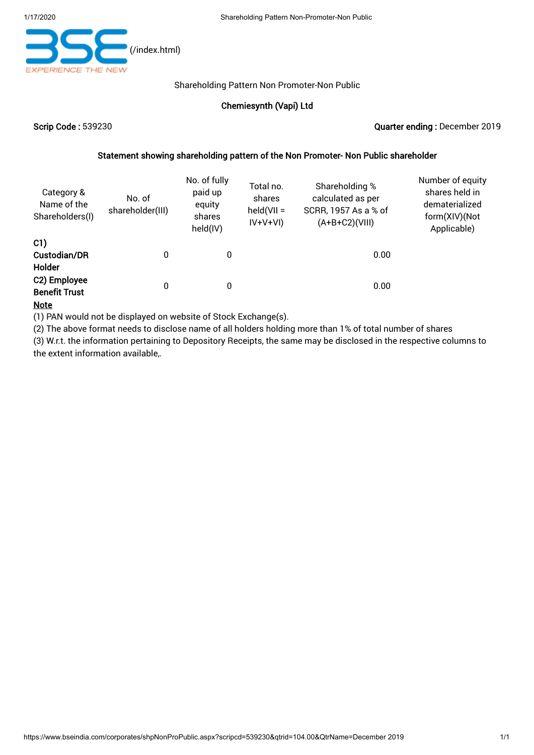

#### Shareholding Pattern Non Promoter-Non Public

## Chemiesynth (Vapi) Ltd

#### Scrip Code : 539230 Quarter ending : December 2019

#### Statement showing shareholding pattern of the Non Promoter- Non Public shareholder

| Category &<br>Name of the<br>Shareholders(I) | No. of<br>shareholder(III) |   | Total no.<br>shares<br>$held(VII =$<br>$IV+V+VI)$ | Shareholding %<br>calculated as per<br>SCRR, 1957 As a % of<br>$(A+B+C2)(VIII)$ | Number of equity<br>shares held in<br>dematerialized<br>form(XIV)(Not<br>Applicable) |
|----------------------------------------------|----------------------------|---|---------------------------------------------------|---------------------------------------------------------------------------------|--------------------------------------------------------------------------------------|
| C1)<br>Custodian/DR<br>Holder                | 0                          | 0 |                                                   | 0.00                                                                            |                                                                                      |
| C2) Employee<br><b>Benefit Trust</b>         | 0                          | 0 |                                                   | 0.00                                                                            |                                                                                      |

#### **Note**

(1) PAN would not be displayed on website of Stock Exchange(s).

(2) The above format needs to disclose name of all holders holding more than 1% of total number of shares

(3) W.r.t. the information pertaining to Depository Receipts, the same may be disclosed in the respective columns to the extent information available,.